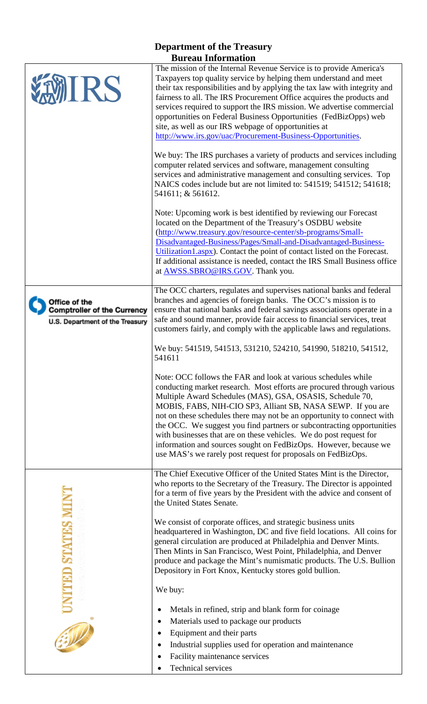| <b>Department of the Treasury</b>                                                      |                                                                                                                                                                                                                                                                                                                                                                                                                                                                                                                                                                                                                                 |
|----------------------------------------------------------------------------------------|---------------------------------------------------------------------------------------------------------------------------------------------------------------------------------------------------------------------------------------------------------------------------------------------------------------------------------------------------------------------------------------------------------------------------------------------------------------------------------------------------------------------------------------------------------------------------------------------------------------------------------|
| <b>Bureau Information</b>                                                              |                                                                                                                                                                                                                                                                                                                                                                                                                                                                                                                                                                                                                                 |
| <b>MIRS</b>                                                                            | The mission of the Internal Revenue Service is to provide America's<br>Taxpayers top quality service by helping them understand and meet<br>their tax responsibilities and by applying the tax law with integrity and<br>fairness to all. The IRS Procurement Office acquires the products and<br>services required to support the IRS mission. We advertise commercial<br>opportunities on Federal Business Opportunities (FedBizOpps) web<br>site, as well as our IRS webpage of opportunities at<br>http://www.irs.gov/uac/Procurement-Business-Opportunities.                                                               |
|                                                                                        | We buy: The IRS purchases a variety of products and services including<br>computer related services and software, management consulting<br>services and administrative management and consulting services. Top<br>NAICS codes include but are not limited to: 541519; 541512; 541618;<br>541611; & 561612.                                                                                                                                                                                                                                                                                                                      |
|                                                                                        | Note: Upcoming work is best identified by reviewing our Forecast<br>located on the Department of the Treasury's OSDBU website<br>(http://www.treasury.gov/resource-center/sb-programs/Small-<br>Disadvantaged-Business/Pages/Small-and-Disadvantaged-Business-<br>Utilization1.aspx). Contact the point of contact listed on the Forecast.<br>If additional assistance is needed, contact the IRS Small Business office<br>at <b>AWSS.SBRO@IRS.GOV</b> . Thank you.                                                                                                                                                             |
| Office of the<br><b>Comptroller of the Currency</b><br>U.S. Department of the Treasury | The OCC charters, regulates and supervises national banks and federal<br>branches and agencies of foreign banks. The OCC's mission is to<br>ensure that national banks and federal savings associations operate in a<br>safe and sound manner, provide fair access to financial services, treat<br>customers fairly, and comply with the applicable laws and regulations.                                                                                                                                                                                                                                                       |
|                                                                                        | We buy: 541519, 541513, 531210, 524210, 541990, 518210, 541512,<br>541611                                                                                                                                                                                                                                                                                                                                                                                                                                                                                                                                                       |
|                                                                                        | Note: OCC follows the FAR and look at various schedules while<br>conducting market research. Most efforts are procured through various<br>Multiple Award Schedules (MAS), GSA, OSASIS, Schedule 70,<br>MOBIS, FABS, NIH-CIO SP3, Alliant SB, NASA SEWP. If you are<br>not on these schedules there may not be an opportunity to connect with<br>the OCC. We suggest you find partners or subcontracting opportunities<br>with businesses that are on these vehicles. We do post request for<br>information and sources sought on FedBizOps. However, because we<br>use MAS's we rarely post request for proposals on FedBizOps. |
|                                                                                        | The Chief Executive Officer of the United States Mint is the Director,<br>who reports to the Secretary of the Treasury. The Director is appointed<br>for a term of five years by the President with the advice and consent of<br>the United States Senate.                                                                                                                                                                                                                                                                                                                                                                      |
| <b>STATES1</b>                                                                         | We consist of corporate offices, and strategic business units<br>headquartered in Washington, DC and five field locations. All coins for<br>general circulation are produced at Philadelphia and Denver Mints.<br>Then Mints in San Francisco, West Point, Philadelphia, and Denver<br>produce and package the Mint's numismatic products. The U.S. Bullion<br>Depository in Fort Knox, Kentucky stores gold bullion.                                                                                                                                                                                                           |
|                                                                                        | We buy:                                                                                                                                                                                                                                                                                                                                                                                                                                                                                                                                                                                                                         |
|                                                                                        | Metals in refined, strip and blank form for coinage                                                                                                                                                                                                                                                                                                                                                                                                                                                                                                                                                                             |
| $\frac{1}{\sqrt{2}}$                                                                   | Materials used to package our products                                                                                                                                                                                                                                                                                                                                                                                                                                                                                                                                                                                          |
|                                                                                        | Equipment and their parts                                                                                                                                                                                                                                                                                                                                                                                                                                                                                                                                                                                                       |
|                                                                                        | Industrial supplies used for operation and maintenance<br>Facility maintenance services                                                                                                                                                                                                                                                                                                                                                                                                                                                                                                                                         |
|                                                                                        | <b>Technical services</b>                                                                                                                                                                                                                                                                                                                                                                                                                                                                                                                                                                                                       |